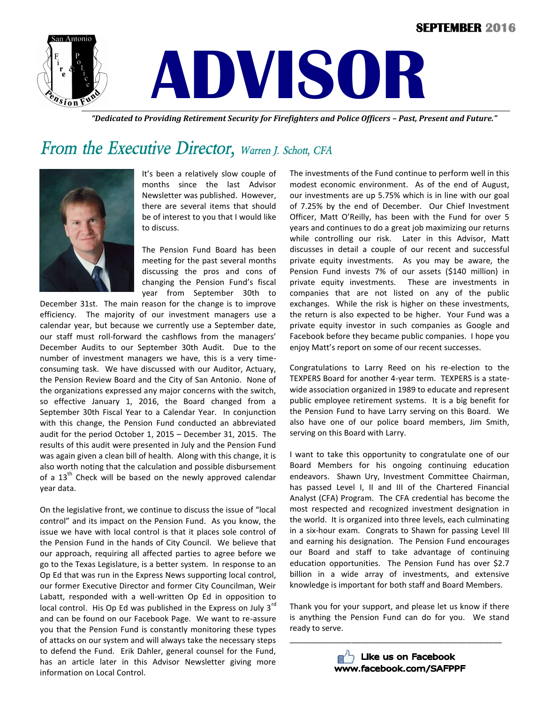#### **SEPTEMBER 2016**





 *"Dedicated to Providing Retirement Security for Firefighters and Police Officers – Past, Present and Future."*

## *From the Executive Director, Warren J. Schott, CFA*



It's been a relatively slow couple of months since the last Advisor Newsletter was published. However, there are several items that should be of interest to you that I would like to discuss.

The Pension Fund Board has been meeting for the past several months discussing the pros and cons of changing the Pension Fund's fiscal year from September 30th to

December 31st. The main reason for the change is to improve efficiency. The majority of our investment managers use a calendar year, but because we currently use a September date, our staff must roll-forward the cashflows from the managers' December Audits to our September 30th Audit. Due to the number of investment managers we have, this is a very timeconsuming task. We have discussed with our Auditor, Actuary, the Pension Review Board and the City of San Antonio. None of the organizations expressed any major concerns with the switch, so effective January 1, 2016, the Board changed from a September 30th Fiscal Year to a Calendar Year. In conjunction with this change, the Pension Fund conducted an abbreviated audit for the period October 1, 2015 – December 31, 2015. The results of this audit were presented in July and the Pension Fund was again given a clean bill of health. Along with this change, it is also worth noting that the calculation and possible disbursement of a  $13<sup>th</sup>$  Check will be based on the newly approved calendar year data.

On the legislative front, we continue to discuss the issue of "local control" and its impact on the Pension Fund. As you know, the issue we have with local control is that it places sole control of the Pension Fund in the hands of City Council. We believe that our approach, requiring all affected parties to agree before we go to the Texas Legislature, is a better system. In response to an Op Ed that was run in the Express News supporting local control, our former Executive Director and former City Councilman, Weir Labatt, responded with a well-written Op Ed in opposition to local control. His Op Ed was published in the Express on July  $3^{rd}$ and can be found on our Facebook Page. We want to re-assure you that the Pension Fund is constantly monitoring these types of attacks on our system and will always take the necessary steps to defend the Fund. Erik Dahler, general counsel for the Fund, has an article later in this Advisor Newsletter giving more information on Local Control.

The investments of the Fund continue to perform well in this modest economic environment. As of the end of August, our investments are up 5.75% which is in line with our goal of 7.25% by the end of December. Our Chief Investment Officer, Matt O'Reilly, has been with the Fund for over 5 years and continues to do a great job maximizing our returns while controlling our risk. Later in this Advisor, Matt discusses in detail a couple of our recent and successful private equity investments. As you may be aware, the Pension Fund invests 7% of our assets (\$140 million) in private equity investments. These are investments in companies that are not listed on any of the public exchanges. While the risk is higher on these investments, the return is also expected to be higher. Your Fund was a private equity investor in such companies as Google and Facebook before they became public companies. I hope you enjoy Matt's report on some of our recent successes.

Congratulations to Larry Reed on his re-election to the TEXPERS Board for another 4-year term. TEXPERS is a statewide association organized in 1989 to educate and represent public employee retirement systems. It is a big benefit for the Pension Fund to have Larry serving on this Board. We also have one of our police board members, Jim Smith, serving on this Board with Larry.

I want to take this opportunity to congratulate one of our Board Members for his ongoing continuing education endeavors. Shawn Ury, Investment Committee Chairman, has passed Level I, II and III of the Chartered Financial Analyst (CFA) Program. The CFA credential has become the most respected and recognized investment designation in the world. It is organized into three levels, each culminating in a six-hour exam. Congrats to Shawn for passing Level III and earning his designation. The Pension Fund encourages our Board and staff to take advantage of continuing education opportunities. The Pension Fund has over \$2.7 billion in a wide array of investments, and extensive knowledge is important for both staff and Board Members.

Thank you for your support, and please let us know if there is anything the Pension Fund can do for you. We stand ready to serve.



\_\_\_\_\_\_\_\_\_\_\_\_\_\_\_\_\_\_\_\_\_\_\_\_\_\_\_\_\_\_\_\_\_\_\_\_\_\_\_\_\_\_\_\_\_\_\_\_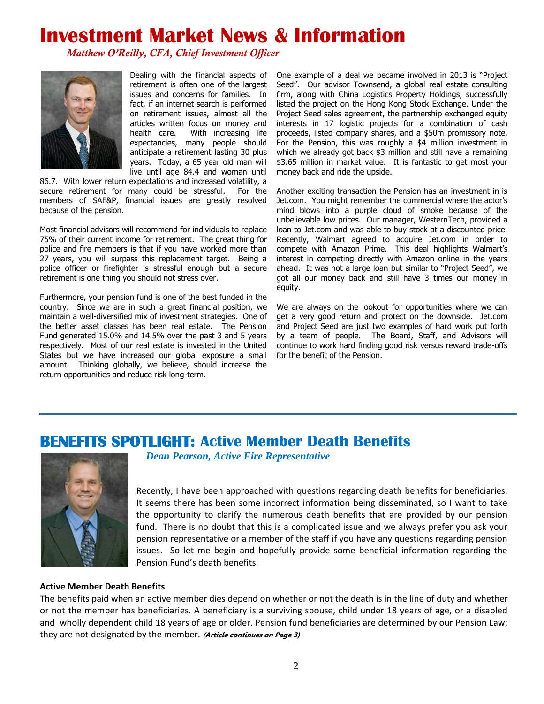# **Investment Market News & Information**

*Matthew O'Reilly, CFA, Chief Investment Officer*



Dealing with the financial aspects of retirement is often one of the largest issues and concerns for families. In fact, if an internet search is performed on retirement issues, almost all the articles written focus on money and health care. With increasing life expectancies, many people should anticipate a retirement lasting 30 plus years. Today, a 65 year old man will live until age 84.4 and woman until

86.7. With lower return expectations and increased volatility, a secure retirement for many could be stressful. For the members of SAF&P, financial issues are greatly resolved because of the pension.

Most financial advisors will recommend for individuals to replace 75% of their current income for retirement. The great thing for police and fire members is that if you have worked more than 27 years, you will surpass this replacement target. Being a police officer or firefighter is stressful enough but a secure retirement is one thing you should not stress over.

Furthermore, your pension fund is one of the best funded in the country. Since we are in such a great financial position, we maintain a well-diversified mix of investment strategies. One of the better asset classes has been real estate. The Pension Fund generated 15.0% and 14.5% over the past 3 and 5 years respectively. Most of our real estate is invested in the United States but we have increased our global exposure a small amount. Thinking globally, we believe, should increase the return opportunities and reduce risk long-term.

One example of a deal we became involved in 2013 is "Project Seed". Our advisor Townsend, a global real estate consulting firm, along with China Logistics Property Holdings, successfully listed the project on the Hong Kong Stock Exchange. Under the Project Seed sales agreement, the partnership exchanged equity interests in 17 logistic projects for a combination of cash proceeds, listed company shares, and a \$50m promissory note. For the Pension, this was roughly a \$4 million investment in which we already got back \$3 million and still have a remaining \$3.65 million in market value. It is fantastic to get most your money back and ride the upside.

Another exciting transaction the Pension has an investment in is Jet.com. You might remember the commercial where the actor's mind blows into a purple cloud of smoke because of the unbelievable low prices. Our manager, WesternTech, provided a loan to Jet.com and was able to buy stock at a discounted price. Recently, Walmart agreed to acquire Jet.com in order to compete with Amazon Prime. This deal highlights Walmart's interest in competing directly with Amazon online in the years ahead. It was not a large loan but similar to "Project Seed", we got all our money back and still have 3 times our money in equity.

We are always on the lookout for opportunities where we can get a very good return and protect on the downside. Jet.com and Project Seed are just two examples of hard work put forth by a team of people. The Board, Staff, and Advisors will continue to work hard finding good risk versus reward trade-offs for the benefit of the Pension.

### **BENEFITS SPOTLIGHT: Active Member Death Benefits**



 *Dean Pearson, Active Fire Representative*

Recently, I have been approached with questions regarding death benefits for beneficiaries. It seems there has been some incorrect information being disseminated, so I want to take the opportunity to clarify the numerous death benefits that are provided by our pension fund. There is no doubt that this is a complicated issue and we always prefer you ask your pension representative or a member of the staff if you have any questions regarding pension issues. So let me begin and hopefully provide some beneficial information regarding the Pension Fund's death benefits.

#### **Active Member Death Benefits**

The benefits paid when an active member dies depend on whether or not the death is in the line of duty and whether or not the member has beneficiaries. A beneficiary is a surviving spouse, child under 18 years of age, or a disabled and wholly dependent child 18 years of age or older. Pension fund beneficiaries are determined by our Pension Law; they are not designated by the member. **(Article continues on Page 3)**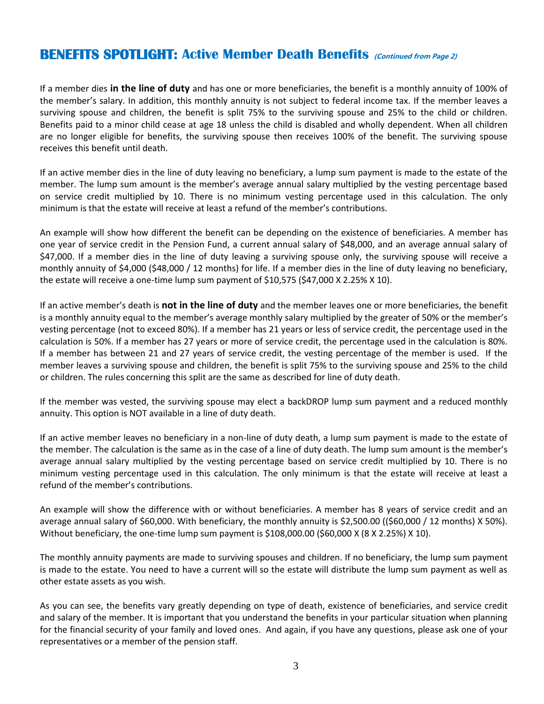### **BENEFITS SPOTLIGHT: Active Member Death Benefits (Continued from Page 2)**

If a member dies **in the line of duty** and has one or more beneficiaries, the benefit is a monthly annuity of 100% of the member's salary. In addition, this monthly annuity is not subject to federal income tax. If the member leaves a surviving spouse and children, the benefit is split 75% to the surviving spouse and 25% to the child or children. Benefits paid to a minor child cease at age 18 unless the child is disabled and wholly dependent. When all children are no longer eligible for benefits, the surviving spouse then receives 100% of the benefit. The surviving spouse receives this benefit until death.

If an active member dies in the line of duty leaving no beneficiary, a lump sum payment is made to the estate of the member. The lump sum amount is the member's average annual salary multiplied by the vesting percentage based on service credit multiplied by 10. There is no minimum vesting percentage used in this calculation. The only minimum is that the estate will receive at least a refund of the member's contributions.

An example will show how different the benefit can be depending on the existence of beneficiaries. A member has one year of service credit in the Pension Fund, a current annual salary of \$48,000, and an average annual salary of \$47,000. If a member dies in the line of duty leaving a surviving spouse only, the surviving spouse will receive a monthly annuity of \$4,000 (\$48,000 / 12 months) for life. If a member dies in the line of duty leaving no beneficiary, the estate will receive a one-time lump sum payment of \$10,575 (\$47,000 X 2.25% X 10).

If an active member's death is **not in the line of duty** and the member leaves one or more beneficiaries, the benefit is a monthly annuity equal to the member's average monthly salary multiplied by the greater of 50% or the member's vesting percentage (not to exceed 80%). If a member has 21 years or less of service credit, the percentage used in the calculation is 50%. If a member has 27 years or more of service credit, the percentage used in the calculation is 80%. If a member has between 21 and 27 years of service credit, the vesting percentage of the member is used. If the member leaves a surviving spouse and children, the benefit is split 75% to the surviving spouse and 25% to the child or children. The rules concerning this split are the same as described for line of duty death.

If the member was vested, the surviving spouse may elect a backDROP lump sum payment and a reduced monthly annuity. This option is NOT available in a line of duty death.

If an active member leaves no beneficiary in a non-line of duty death, a lump sum payment is made to the estate of the member. The calculation is the same as in the case of a line of duty death. The lump sum amount is the member's average annual salary multiplied by the vesting percentage based on service credit multiplied by 10. There is no minimum vesting percentage used in this calculation. The only minimum is that the estate will receive at least a refund of the member's contributions.

An example will show the difference with or without beneficiaries. A member has 8 years of service credit and an average annual salary of \$60,000. With beneficiary, the monthly annuity is \$2,500.00 ((\$60,000 / 12 months) X 50%). Without beneficiary, the one-time lump sum payment is \$108,000.00 (\$60,000 X (8 X 2.25%) X 10).

The monthly annuity payments are made to surviving spouses and children. If no beneficiary, the lump sum payment is made to the estate. You need to have a current will so the estate will distribute the lump sum payment as well as other estate assets as you wish.

As you can see, the benefits vary greatly depending on type of death, existence of beneficiaries, and service credit and salary of the member. It is important that you understand the benefits in your particular situation when planning for the financial security of your family and loved ones. And again, if you have any questions, please ask one of your representatives or a member of the pension staff.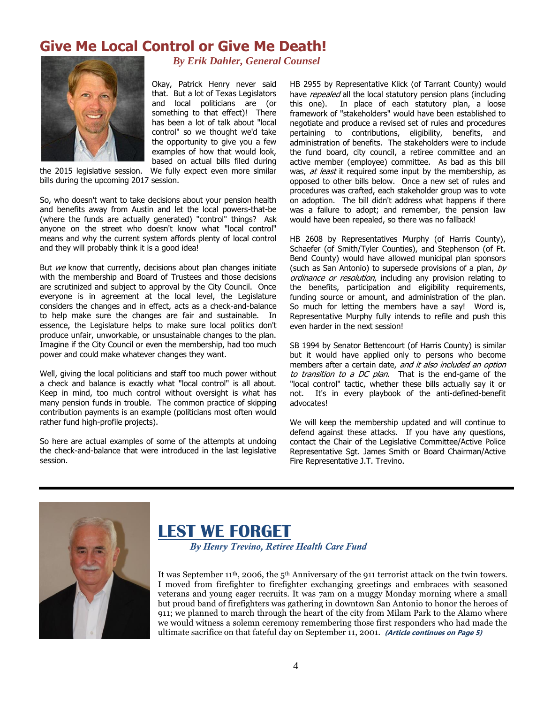## **Give Me Local Control or Give Me Death!**



*By Erik Dahler, General Counsel*

Okay, Patrick Henry never said that. But a lot of Texas Legislators and local politicians are (or something to that effect)! There has been a lot of talk about "local control" so we thought we'd take the opportunity to give you a few examples of how that would look, based on actual bills filed during

the 2015 legislative session. We fully expect even more similar bills during the upcoming 2017 session.

So, who doesn't want to take decisions about your pension health and benefits away from Austin and let the local powers-that-be (where the funds are actually generated) "control" things? Ask anyone on the street who doesn't know what "local control" means and why the current system affords plenty of local control and they will probably think it is a good idea!

But  $we$  know that currently, decisions about plan changes initiate with the membership and Board of Trustees and those decisions are scrutinized and subject to approval by the City Council. Once everyone is in agreement at the local level, the Legislature considers the changes and in effect, acts as a check-and-balance to help make sure the changes are fair and sustainable. In essence, the Legislature helps to make sure local politics don't produce unfair, unworkable, or unsustainable changes to the plan. Imagine if the City Council or even the membership, had too much power and could make whatever changes they want.

Well, giving the local politicians and staff too much power without a check and balance is exactly what "local control" is all about. Keep in mind, too much control without oversight is what has many pension funds in trouble. The common practice of skipping contribution payments is an example (politicians most often would rather fund high-profile projects).

So here are actual examples of some of the attempts at undoing the check-and-balance that were introduced in the last legislative session.

HB 2955 by Representative Klick (of Tarrant County) would have repealed all the local statutory pension plans (including this one). In place of each statutory plan, a loose framework of "stakeholders" would have been established to negotiate and produce a revised set of rules and procedures pertaining to contributions, eligibility, benefits, and administration of benefits. The stakeholders were to include the fund board, city council, a retiree committee and an active member (employee) committee. As bad as this bill was, at least it required some input by the membership, as opposed to other bills below. Once a new set of rules and procedures was crafted, each stakeholder group was to vote on adoption. The bill didn't address what happens if there was a failure to adopt; and remember, the pension law would have been repealed, so there was no fallback!

HB 2608 by Representatives Murphy (of Harris County), Schaefer (of Smith/Tyler Counties), and Stephenson (of Ft. Bend County) would have allowed municipal plan sponsors (such as San Antonio) to supersede provisions of a plan,  $by$ ordinance or resolution, including any provision relating to the benefits, participation and eligibility requirements, funding source or amount, and administration of the plan. So much for letting the members have a say! Word is, Representative Murphy fully intends to refile and push this even harder in the next session!

SB 1994 by Senator Bettencourt (of Harris County) is similar but it would have applied only to persons who become members after a certain date, and it also included an option to transition to a DC plan. That is the end-game of the "local control" tactic, whether these bills actually say it or not. It's in every playbook of the anti-defined-benefit advocates!

We will keep the membership updated and will continue to defend against these attacks. If you have any questions, contact the Chair of the Legislative Committee/Active Police Representative Sgt. James Smith or Board Chairman/Active Fire Representative J.T. Trevino.



## **LEST WE FORGET**

*By Henry Trevino, Retiree Health Care Fund*

It was September 11<sup>th</sup>, 2006, the  $5<sup>th</sup>$  Anniversary of the 911 terrorist attack on the twin towers. I moved from firefighter to firefighter exchanging greetings and embraces with seasoned veterans and young eager recruits. It was 7am on a muggy Monday morning where a small but proud band of firefighters was gathering in downtown San Antonio to honor the heroes of 911; we planned to march through the heart of the city from Milam Park to the Alamo where we would witness a solemn ceremony remembering those first responders who had made the ultimate sacrifice on that fateful day on September 11, 2001. **(Article continues on Page 5)**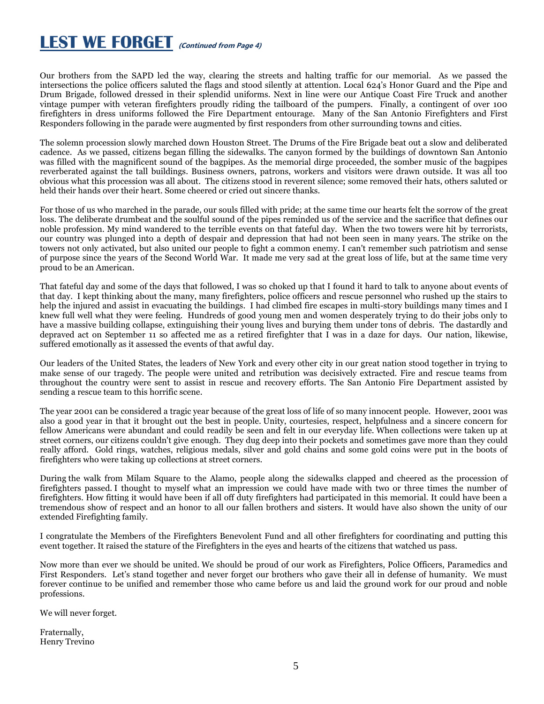# **LEST WE FORGET (Continued from Page 4)**

Our brothers from the SAPD led the way, clearing the streets and halting traffic for our memorial. As we passed the intersections the police officers saluted the flags and stood silently at attention. Local 624's Honor Guard and the Pipe and Drum Brigade, followed dressed in their splendid uniforms. Next in line were our Antique Coast Fire Truck and another vintage pumper with veteran firefighters proudly riding the tailboard of the pumpers. Finally, a contingent of over 100 firefighters in dress uniforms followed the Fire Department entourage. Many of the San Antonio Firefighters and First Responders following in the parade were augmented by first responders from other surrounding towns and cities.

The solemn procession slowly marched down Houston Street. The Drums of the Fire Brigade beat out a slow and deliberated cadence. As we passed, citizens began filling the sidewalks. The canyon formed by the buildings of downtown San Antonio was filled with the magnificent sound of the bagpipes. As the memorial dirge proceeded, the somber music of the bagpipes reverberated against the tall buildings. Business owners, patrons, workers and visitors were drawn outside. It was all too obvious what this procession was all about. The citizens stood in reverent silence; some removed their hats, others saluted or held their hands over their heart. Some cheered or cried out sincere thanks.

For those of us who marched in the parade, our souls filled with pride; at the same time our hearts felt the sorrow of the great loss. The deliberate drumbeat and the soulful sound of the pipes reminded us of the service and the sacrifice that defines our noble profession. My mind wandered to the terrible events on that fateful day. When the two towers were hit by terrorists, our country was plunged into a depth of despair and depression that had not been seen in many years. The strike on the towers not only activated, but also united our people to fight a common enemy. I can't remember such patriotism and sense of purpose since the years of the Second World War. It made me very sad at the great loss of life, but at the same time very proud to be an American.

That fateful day and some of the days that followed, I was so choked up that I found it hard to talk to anyone about events of that day. I kept thinking about the many, many firefighters, police officers and rescue personnel who rushed up the stairs to help the injured and assist in evacuating the buildings. I had climbed fire escapes in multi-story buildings many times and I knew full well what they were feeling. Hundreds of good young men and women desperately trying to do their jobs only to have a massive building collapse, extinguishing their young lives and burying them under tons of debris. The dastardly and depraved act on September 11 so affected me as a retired firefighter that I was in a daze for days. Our nation, likewise, suffered emotionally as it assessed the events of that awful day.

Our leaders of the United States, the leaders of New York and every other city in our great nation stood together in trying to make sense of our tragedy. The people were united and retribution was decisively extracted. Fire and rescue teams from throughout the country were sent to assist in rescue and recovery efforts. The San Antonio Fire Department assisted by sending a rescue team to this horrific scene.

The year 2001 can be considered a tragic year because of the great loss of life of so many innocent people. However, 2001 was also a good year in that it brought out the best in people. Unity, courtesies, respect, helpfulness and a sincere concern for fellow Americans were abundant and could readily be seen and felt in our everyday life. When collections were taken up at street corners, our citizens couldn't give enough. They dug deep into their pockets and sometimes gave more than they could really afford. Gold rings, watches, religious medals, silver and gold chains and some gold coins were put in the boots of firefighters who were taking up collections at street corners.

During the walk from Milam Square to the Alamo, people along the sidewalks clapped and cheered as the procession of firefighters passed. I thought to myself what an impression we could have made with two or three times the number of firefighters. How fitting it would have been if all off duty firefighters had participated in this memorial. It could have been a tremendous show of respect and an honor to all our fallen brothers and sisters. It would have also shown the unity of our extended Firefighting family.

I congratulate the Members of the Firefighters Benevolent Fund and all other firefighters for coordinating and putting this event together. It raised the stature of the Firefighters in the eyes and hearts of the citizens that watched us pass.

Now more than ever we should be united. We should be proud of our work as Firefighters, Police Officers, Paramedics and First Responders. Let's stand together and never forget our brothers who gave their all in defense of humanity. We must forever continue to be unified and remember those who came before us and laid the ground work for our proud and noble professions.

We will never forget.

Fraternally, Henry Trevino